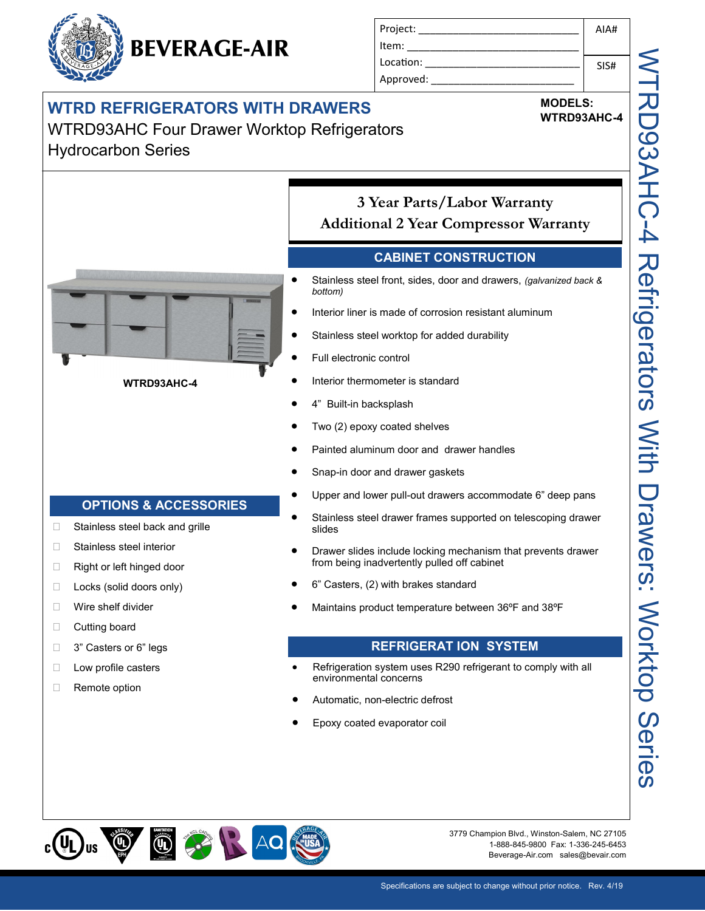## **WTRD REFRIGERATORS WITH DRAWERS**

WTRD93AHC Four Drawer Worktop Refrigerators Hydrocarbon Series



**MODELS: WTRD93AHC-4**

### **3 Year Parts/Labor Warranty Additional 2 Year Compressor Warranty**

#### **CABINET CONSTRUCTION**

- Stainless steel front, sides, door and drawers, *(galvanized back & bottom)*
- Interior liner is made of corrosion resistant aluminum
- Stainless steel worktop for added durability
- Full electronic control
- Interior thermometer is standard
- 4" Built-in backsplash
- Two (2) epoxy coated shelves
- Painted aluminum door and drawer handles
- Snap-in door and drawer gaskets
- Upper and lower pull-out drawers accommodate 6" deep pans
- Stainless steel drawer frames supported on telescoping drawer slides
- Drawer slides include locking mechanism that prevents drawer from being inadvertently pulled off cabinet
- 6" Casters, (2) with brakes standard
- Maintains product temperature between 36ºF and 38ºF

#### **REFRIGERAT ION SYSTEM**

- Refrigeration system uses R290 refrigerant to comply with all environmental concerns
- Automatic, non-electric defrost
- Epoxy coated evaporator coil

**⑩ 第 日 40 健**  $\textcircled{1}$ 

□ Stainless steel back and grille

**OPTIONS & ACCESSORIES**

**WTRD93AHC-4**

□ Stainless steel interior □ Right or left hinged door □ Locks (solid doors only)

**Nire shelf divider** D Cutting board

□ 3" Casters or 6" legs □ Low profile casters □ Remote option

> 3779 Champion Blvd., Winston-Salem, NC 27105 1-888-845-9800 Fax: 1-336-245-6453 Beverage-Air.com sales@bevair.com